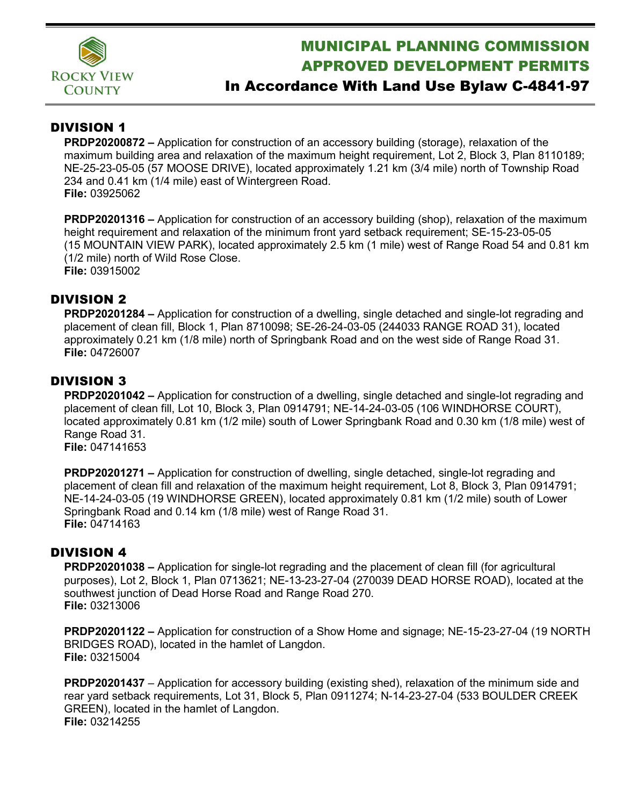

# MUNICIPAL PLANNING COMMISSION APPROVED DEVELOPMENT PERMITS

## In Accordance With Land Use Bylaw C-4841-97

### DIVISION 1

**PRDP20200872 –** Application for construction of an accessory building (storage), relaxation of the maximum building area and relaxation of the maximum height requirement, Lot 2, Block 3, Plan 8110189; NE-25-23-05-05 (57 MOOSE DRIVE), located approximately 1.21 km (3/4 mile) north of Township Road 234 and 0.41 km (1/4 mile) east of Wintergreen Road. **File:** 03925062

**PRDP20201316 –** Application for construction of an accessory building (shop), relaxation of the maximum height requirement and relaxation of the minimum front yard setback requirement; SE-15-23-05-05 (15 MOUNTAIN VIEW PARK), located approximately 2.5 km (1 mile) west of Range Road 54 and 0.81 km (1/2 mile) north of Wild Rose Close. **File:** 03915002

### DIVISION 2

**PRDP20201284 –** Application for construction of a dwelling, single detached and single-lot regrading and placement of clean fill, Block 1, Plan 8710098; SE-26-24-03-05 (244033 RANGE ROAD 31), located approximately 0.21 km (1/8 mile) north of Springbank Road and on the west side of Range Road 31. **File:** 04726007

### DIVISION 3

**PRDP20201042 –** Application for construction of a dwelling, single detached and single-lot regrading and placement of clean fill, Lot 10, Block 3, Plan 0914791; NE-14-24-03-05 (106 WINDHORSE COURT), located approximately 0.81 km (1/2 mile) south of Lower Springbank Road and 0.30 km (1/8 mile) west of Range Road 31.

**File:** 047141653

**PRDP20201271 –** Application for construction of dwelling, single detached, single-lot regrading and placement of clean fill and relaxation of the maximum height requirement, Lot 8, Block 3, Plan 0914791; NE-14-24-03-05 (19 WINDHORSE GREEN), located approximately 0.81 km (1/2 mile) south of Lower Springbank Road and 0.14 km (1/8 mile) west of Range Road 31. **File:** 04714163

#### DIVISION 4

**PRDP20201038 –** Application for single-lot regrading and the placement of clean fill (for agricultural purposes), Lot 2, Block 1, Plan 0713621; NE-13-23-27-04 (270039 DEAD HORSE ROAD), located at the southwest junction of Dead Horse Road and Range Road 270. **File:** 03213006

**PRDP20201122 –** Application for construction of a Show Home and signage; NE-15-23-27-04 (19 NORTH BRIDGES ROAD), located in the hamlet of Langdon. **File:** 03215004

**PRDP20201437** – Application for accessory building (existing shed), relaxation of the minimum side and rear yard setback requirements, Lot 31, Block 5, Plan 0911274; N-14-23-27-04 (533 BOULDER CREEK GREEN), located in the hamlet of Langdon. **File:** 03214255